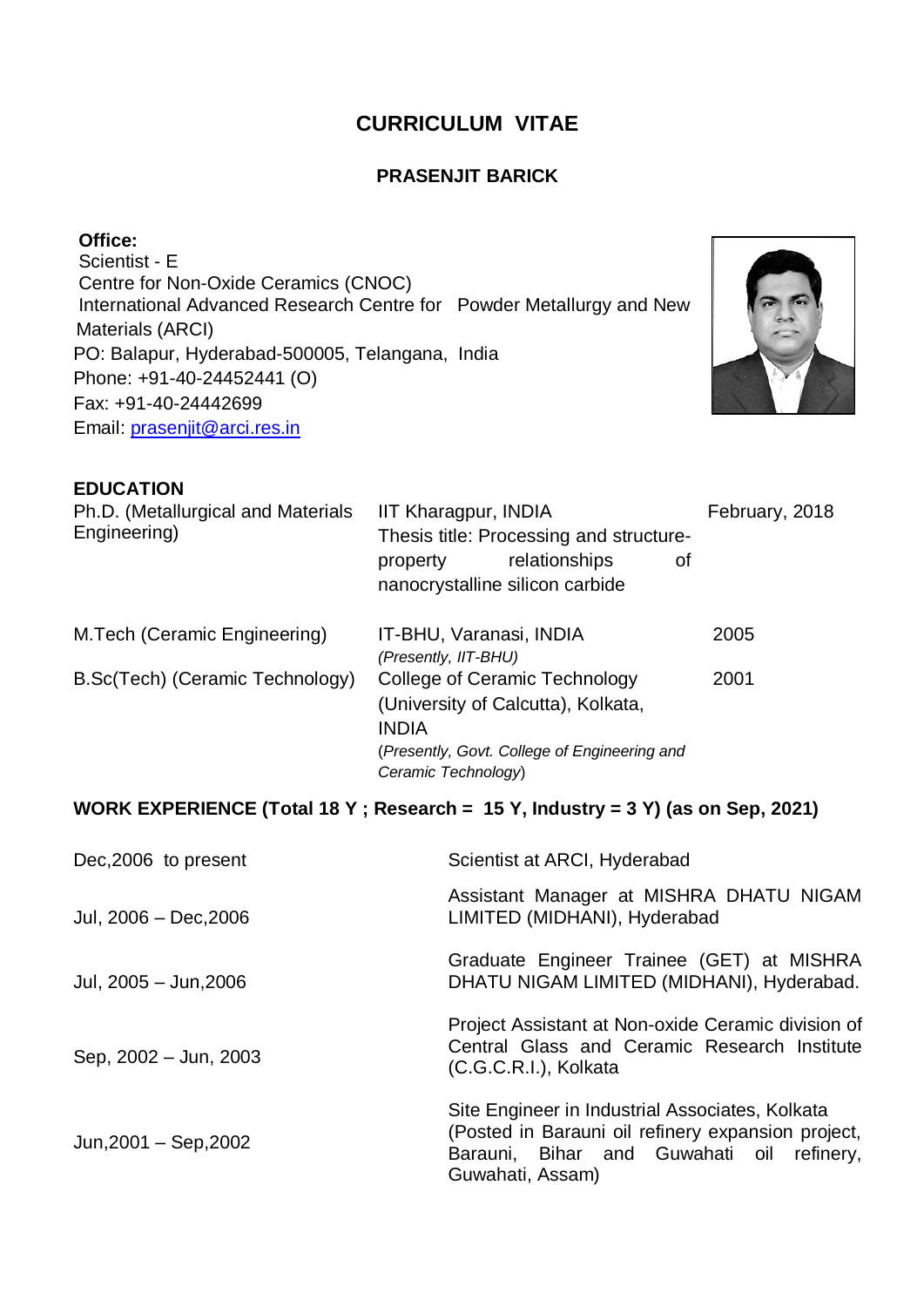# **CURRICULUM VITAE**

#### **PRASENJIT BARICK**

**Office:** Scientist - E Centre for Non-Oxide Ceramics (CNOC) International Advanced Research Centre for Powder Metallurgy and New Materials (ARCI) PO: Balapur, Hyderabad-500005, Telangana, India Phone: +91-40-24452441 (O) Fax: +91-40-24442699 Email: [prasenjit@arci.res.in](mailto:prasenjit@arci.res.in)



#### **EDUCATION**

| Ph.D. (Metallurgical and Materials<br>Engineering) | IIT Kharagpur, INDIA<br>Thesis title: Processing and structure-<br>relationships<br>property<br>οf<br>nanocrystalline silicon carbide                      | February, 2018 |
|----------------------------------------------------|------------------------------------------------------------------------------------------------------------------------------------------------------------|----------------|
| M. Tech (Ceramic Engineering)                      | IT-BHU, Varanasi, INDIA<br>(Presently, IIT-BHU)                                                                                                            | 2005           |
| B.Sc(Tech) (Ceramic Technology)                    | College of Ceramic Technology<br>(University of Calcutta), Kolkata,<br><b>INDIA</b><br>(Presently, Govt. College of Engineering and<br>Ceramic Technology) | 2001           |

# **WORK EXPERIENCE (Total 18 Y ; Research = 15 Y, Industry = 3 Y) (as on Sep, 2021)**

| Dec, 2006 to present      | Scientist at ARCI, Hyderabad                                                                                                                                           |  |
|---------------------------|------------------------------------------------------------------------------------------------------------------------------------------------------------------------|--|
| Jul, 2006 - Dec, 2006     | Assistant Manager at MISHRA DHATU NIGAM<br>LIMITED (MIDHANI), Hyderabad                                                                                                |  |
| Jul, 2005 - Jun, 2006     | Graduate Engineer Trainee (GET) at MISHRA<br>DHATU NIGAM LIMITED (MIDHANI), Hyderabad.                                                                                 |  |
| Sep, 2002 - Jun, 2003     | Project Assistant at Non-oxide Ceramic division of<br>Central Glass and Ceramic Research Institute<br>(C.G.C.R.I.), Kolkata                                            |  |
| Jun, $2001 -$ Sep, $2002$ | Site Engineer in Industrial Associates, Kolkata<br>(Posted in Barauni oil refinery expansion project,<br>Barauni, Bihar and Guwahati oil refinery,<br>Guwahati, Assam) |  |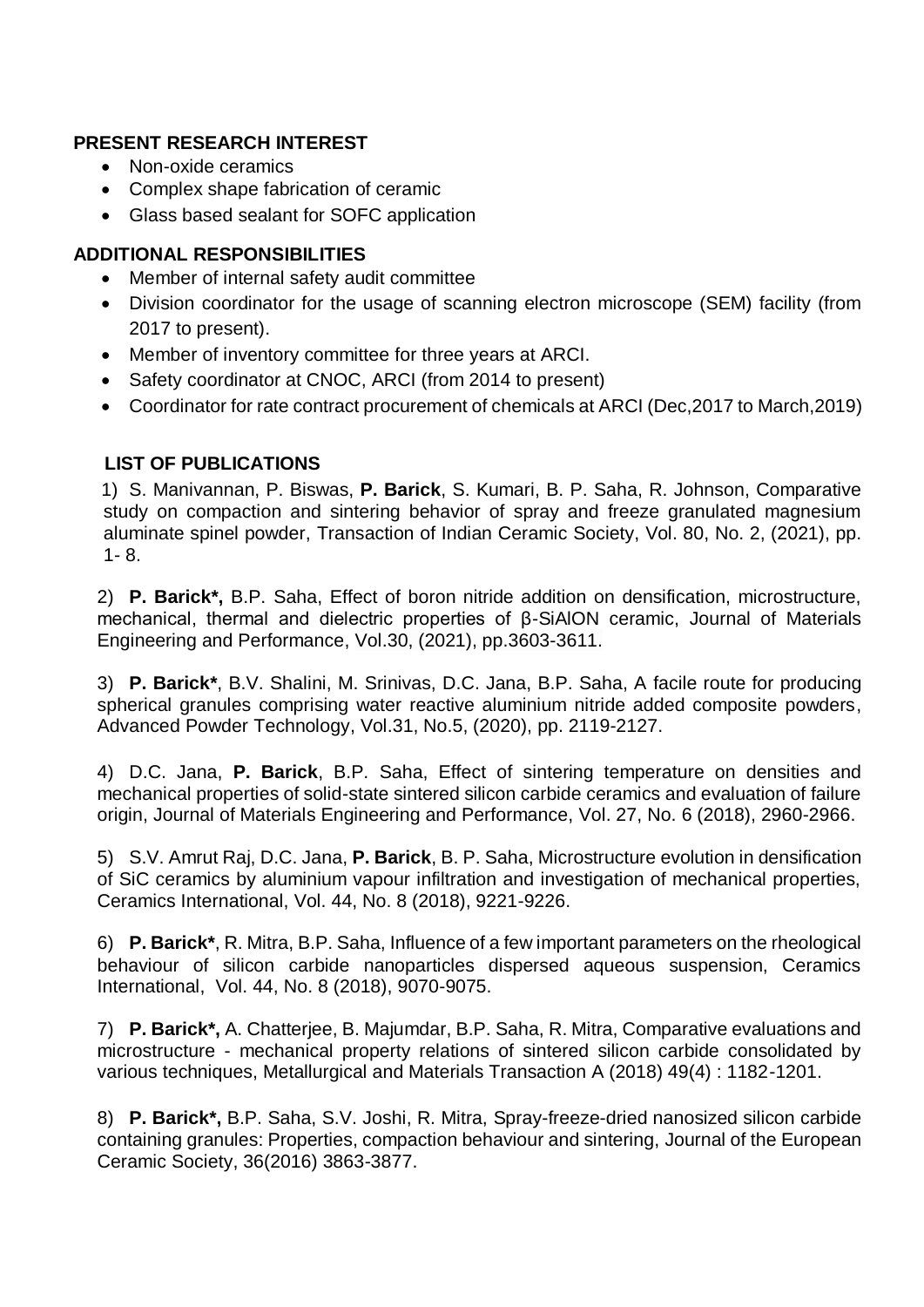## **PRESENT RESEARCH INTEREST**

- Non-oxide ceramics
- Complex shape fabrication of ceramic
- Glass based sealant for SOFC application

## **ADDITIONAL RESPONSIBILITIES**

- Member of internal safety audit committee
- Division coordinator for the usage of scanning electron microscope (SEM) facility (from 2017 to present).
- Member of inventory committee for three years at ARCI.
- Safety coordinator at CNOC, ARCI (from 2014 to present)
- Coordinator for rate contract procurement of chemicals at ARCI (Dec,2017 to March,2019)

## **LIST OF PUBLICATIONS**

1) S. Manivannan, P. Biswas, **P. Barick**, S. Kumari, B. P. Saha, R. Johnson, Comparative study on compaction and sintering behavior of spray and freeze granulated magnesium aluminate spinel powder, Transaction of Indian Ceramic Society, Vol. 80, No. 2, (2021), pp. 1*-* 8.

2) **P. Barick\*,** B.P. Saha, Effect of boron nitride addition on densification, microstructure, mechanical, thermal and dielectric properties of β-SiAlON ceramic, Journal of Materials Engineering and Performance, Vol.30, (2021), pp.3603-3611.

3) **P. Barick\***, B.V. Shalini, M. Srinivas, D.C. Jana, B.P. Saha, A facile route for producing spherical granules comprising water reactive aluminium nitride added composite powders. Advanced Powder Technology, Vol.31, No.5, (2020), pp. 2119-2127.

4) D.C. Jana, **P. Barick**, B.P. Saha, Effect of sintering temperature on densities and mechanical properties of solid-state sintered silicon carbide ceramics and evaluation of failure origin, Journal of Materials Engineering and Performance, Vol. 27, No. 6 (2018), 2960-2966.

5) S.V. Amrut Raj, D.C. Jana, **P. Barick**, B. P. Saha, Microstructure evolution in densification of SiC ceramics by aluminium vapour infiltration and investigation of mechanical properties, Ceramics International, Vol. 44, No. 8 (2018), 9221-9226.

6) **P. Barick\***, R. Mitra, B.P. Saha, Influence of a few important parameters on the rheological behaviour of silicon carbide nanoparticles dispersed aqueous suspension, Ceramics International, Vol. 44, No. 8 (2018), 9070-9075.

7) **P. Barick\*,** A. Chatterjee, B. Majumdar, B.P. Saha, R. Mitra, Comparative evaluations and microstructure - mechanical property relations of sintered silicon carbide consolidated by various techniques, Metallurgical and Materials Transaction A (2018) 49(4) : 1182-1201.

8) **P. Barick\*,** B.P. Saha, S.V. Joshi, R. Mitra, Spray-freeze-dried nanosized silicon carbide containing granules: Properties, compaction behaviour and sintering, Journal of the European Ceramic Society, 36(2016) 3863-3877.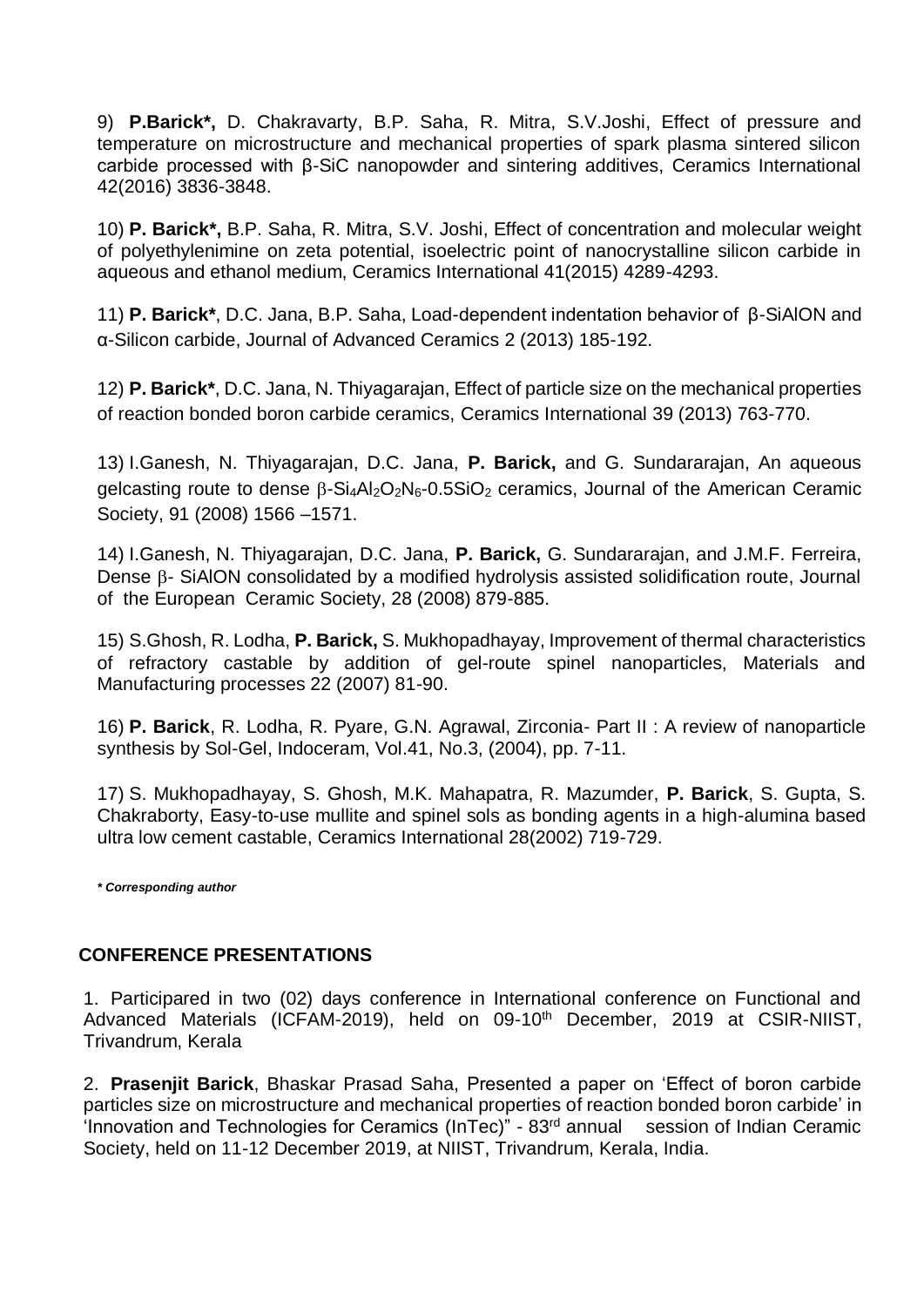9) **P.Barick\*,** D. Chakravarty, B.P. Saha, R. Mitra, S.V.Joshi, Effect of pressure and temperature on microstructure and mechanical properties of spark plasma sintered silicon carbide processed with β-SiC nanopowder and sintering additives, Ceramics International 42(2016) 3836-3848.

10) **P. Barick\*,** B.P. Saha, R. Mitra, S.V. Joshi, Effect of concentration and molecular weight of polyethylenimine on zeta potential, isoelectric point of nanocrystalline silicon carbide in aqueous and ethanol medium, Ceramics International 41(2015) 4289-4293.

11) **P. Barick\***, D.C. Jana, B.P. Saha, Load-dependent indentation behavior of β-SiAlON and α-Silicon carbide, Journal of Advanced Ceramics 2 (2013) 185-192.

12) **P. Barick\***, D.C. Jana, N. Thiyagarajan, Effect of particle size on the mechanical properties of reaction bonded boron carbide ceramics, Ceramics International 39 (2013) 763-770.

13) I.Ganesh, N. Thiyagarajan, D.C. Jana, **P. Barick,** and G. Sundararajan, An aqueous gelcasting route to dense  $\beta$ -Si<sub>4</sub>Al<sub>2</sub>O<sub>2</sub>N<sub>6</sub>-0.5SiO<sub>2</sub> ceramics, Journal of the American Ceramic Society, 91 (2008) 1566 –1571.

14) I.Ganesh, N. Thiyagarajan, D.C. Jana, **P. Barick,** G. Sundararajan, and J.M.F. Ferreira, Dense  $\beta$ - SiAION consolidated by a modified hydrolysis assisted solidification route, Journal of the European Ceramic Society, 28 (2008) 879-885.

15) S.Ghosh, R. Lodha, **P. Barick,** S. Mukhopadhayay, Improvement of thermal characteristics of refractory castable by addition of gel-route spinel nanoparticles, Materials and Manufacturing processes 22 (2007) 81-90.

16) **P. Barick**, R. Lodha, R. Pyare, G.N. Agrawal, Zirconia- Part II : A review of nanoparticle synthesis by Sol-Gel, Indoceram, Vol.41, No.3, (2004), pp. 7-11.

17) S. Mukhopadhayay, S. Ghosh, M.K. Mahapatra, R. Mazumder, **P. Barick**, S. Gupta, S. Chakraborty, Easy-to-use mullite and spinel sols as bonding agents in a high-alumina based ultra low cement castable, Ceramics International 28(2002) 719-729.

*\* Corresponding author*

#### **CONFERENCE PRESENTATIONS**

1. Participared in two (02) days conference in International conference on Functional and Advanced Materials (ICFAM-2019), held on 09-10<sup>th</sup> December, 2019 at CSIR-NIIST, Trivandrum, Kerala

2. **Prasenjit Barick**, Bhaskar Prasad Saha, Presented a paper on 'Effect of boron carbide particles size on microstructure and mechanical properties of reaction bonded boron carbide' in 'Innovation and Technologies for Ceramics (InTec)" - 83rd annual session of Indian Ceramic Society, held on 11-12 December 2019, at NIIST, Trivandrum, Kerala, India.